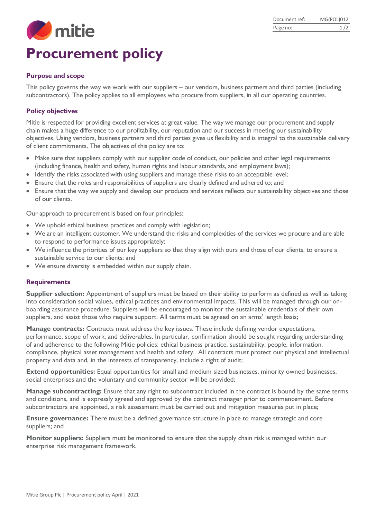

### **Purpose and scope**

This policy governs the way we work with our suppliers – our vendors, business partners and third parties (including subcontractors). The policy applies to all employees who procure from suppliers, in all our operating countries.

# **Policy objectives**

Mitie is respected for providing excellent services at great value. The way we manage our procurement and supply chain makes a huge difference to our profitability, our reputation and our success in meeting our sustainability objectives. Using vendors, business partners and third parties gives us flexibility and is integral to the sustainable delivery of client commitments. The objectives of this policy are to:

- Make sure that suppliers comply with our supplier code of conduct, our policies and other legal requirements (including finance, health and safety, human rights and labour standards, and employment laws);
- Identify the risks associated with using suppliers and manage these risks to an acceptable level;
- Ensure that the roles and responsibilities of suppliers are clearly defined and adhered to; and
- Ensure that the way we supply and develop our products and services reflects our sustainability objectives and those of our clients.

Our approach to procurement is based on four principles:

- We uphold ethical business practices and comply with legislation;
- We are an intelligent customer. We understand the risks and complexities of the services we procure and are able to respond to performance issues appropriately;
- We influence the priorities of our key suppliers so that they align with ours and those of our clients, to ensure a sustainable service to our clients; and
- We ensure diversity is embedded within our supply chain.

#### **Requirements**

**Supplier selection:** Appointment of suppliers must be based on their ability to perform as defined as well as taking into consideration social values, ethical practices and environmental impacts. This will be managed through our onboarding assurance procedure. Suppliers will be encouraged to monitor the sustainable credentials of their own suppliers, and assist those who require support. All terms must be agreed on an arms' length basis;

**Manage contracts:** Contracts must address the key issues. These include defining vendor expectations, performance, scope of work, and deliverables. In particular, confirmation should be sought regarding understanding of and adherence to the following Mitie policies: ethical business practice, sustainability, people, information, compliance, physical asset management and health and safety. All contracts must protect our physical and intellectual property and data and, in the interests of transparency, include a right of audit;

**Extend opportunities:** Equal opportunities for small and medium sized businesses, minority owned businesses, social enterprises and the voluntary and community sector will be provided;

**Manage subcontracting:** Ensure that any right to subcontract included in the contract is bound by the same terms and conditions, and is expressly agreed and approved by the contract manager prior to commencement. Before subcontractors are appointed, a risk assessment must be carried out and mitigation measures put in place;

**Ensure governance:** There must be a defined governance structure in place to manage strategic and core suppliers; and

**Monitor suppliers:** Suppliers must be monitored to ensure that the supply chain risk is managed within our enterprise risk management framework.